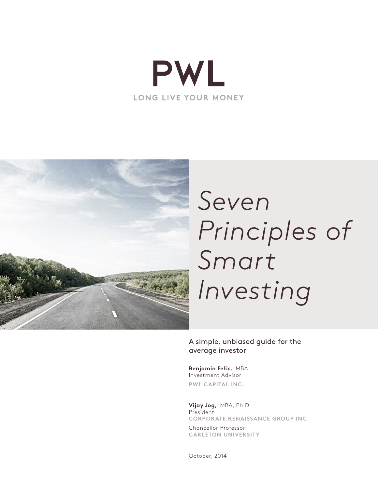



# *Seven Principles of Smart Investing*

A simple, unbiased guide for the average investor

**Benjamin Felix,** MBA Investment Advisor **PWL CAPITAL INC.**

**Vijay Jog,** MBA, Ph.D President **CORPORATE RENAISSANCE GROUP INC.** 

Chancellor Professor **CARLETON UNIVERSITY**

October, 2014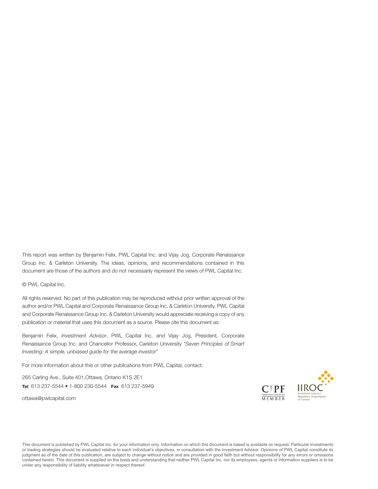This report was written by Benjamin Felix, PWL Capital Inc. and Vijay Jog, Corporate Renaissance Group Inc. & Carleton University. The ideas, opinions, and recommendations contained in this document are those of the authors and do not necessarily represent the views of PWL Capital Inc.

© PWL Capital Inc.

All rights reserved. No part of this publication may be reproduced without prior written approval of the author and/or PWL Capital and Corporate Renaissance Group Inc. & Carleton University. PWL Capital and Corporate Renaissance Group Inc. & Carleton University would appreciate receiving a copy of any publication or material that uses this document as a source. Please cite this document as:

Benjamin Felix, *Investment Advisor*, PWL Capital Inc. and Vijay Jog, President, Corporate Renaissance Group Inc. and Chancellor Professor, Carleton University *"Seven Principles of Smart Investing: A simple, unbiased guide for the average investor"* 

For more information about this or other publications from PWL Capital, contact:

265 Carling Ave., Suite 401,Ottawa, Ontario K1S 2E1 Tel 613 237-5544 • 1-800 230-5544 Fax 613 237-5949

[ottawa@pwlcapital.com](mailto:ottawa@pwlcapital.com)



This document is published by PWL Capital Inc. for your information only. Information on which this document is based is available on request. Particular investments or trading strategies should be evaluated relative to each individual's objectives, in consultation with the Investment Advisor. Opinions of PWL Capital constitute its judgment as of the date of this publication, are subject to change without notice and are provided in good faith but without responsibility for any errors or omissions contained herein. This document is supplied on the basis and understanding that neither PWL Capital Inc. nor its employees, agents or information suppliers is to be under any responsibility of liability whatsoever in respect thereof.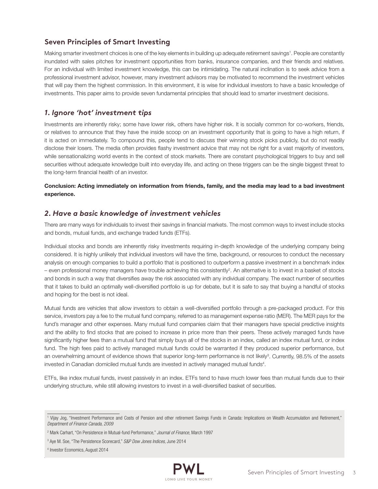## **Seven Principles of Smart Investing**

Making smarter investment choices is one of the key elements in building up adequate retirement savings<sup>1</sup>. People are constantly inundated with sales pitches for investment opportunities from banks, insurance companies, and their friends and relatives. For an individual with limited investment knowledge, this can be intimidating. The natural inclination is to seek advice from a professional investment advisor, however, many investment advisors may be motivated to recommend the investment vehicles that will pay them the highest commission. In this environment, it is wise for individual investors to have a basic knowledge of investments. This paper aims to provide seven fundamental principles that should lead to smarter investment decisions.

## *1. Ignore 'hot' investment tips*

Investments are inherently risky; some have lower risk, others have higher risk. It is socially common for co-workers, friends, or relatives to announce that they have the inside scoop on an investment opportunity that is going to have a high return, if it is acted on immediately. To compound this, people tend to discuss their winning stock picks publicly, but do not readily disclose their losers. The media often provides flashy investment advice that may not be right for a vast majority of investors, while sensationalizing world events in the context of stock markets. There are constant psychological triggers to buy and sell securities without adequate knowledge built into everyday life, and acting on these triggers can be the single biggest threat to the long-term financial health of an investor.

Conclusion: Acting immediately on information from friends, family, and the media may lead to a bad investment experience.

## *2. Have a basic knowledge of investment vehicles*

There are many ways for individuals to invest their savings in financial markets. The most common ways to invest include stocks and bonds, mutual funds, and exchange traded funds (ETFs).

Individual stocks and bonds are inherently risky investments requiring in-depth knowledge of the underlying company being considered. It is highly unlikely that individual investors will have the time, background, or resources to conduct the necessary analysis on enough companies to build a portfolio that is positioned to outperform a passive investment in a benchmark index – even professional money managers have trouble achieving this consistently2 . An alternative is to invest in a basket of stocks and bonds in such a way that diversifies away the risk associated with any individual company. The exact number of securities that it takes to build an optimally well-diversified portfolio is up for debate, but it is safe to say that buying a handful of stocks and hoping for the best is not ideal.

Mutual funds are vehicles that allow investors to obtain a well-diversified portfolio through a pre-packaged product. For this service, investors pay a fee to the mutual fund company, referred to as management expense ratio (MER). The MER pays for the fund's manager and other expenses. Many mutual fund companies claim that their managers have special predictive insights and the ability to find stocks that are poised to increase in price more than their peers. These actively managed funds have significantly higher fees than a mutual fund that simply buys all of the stocks in an index, called an index mutual fund, or index fund. The high fees paid to actively managed mutual funds could be warranted if they produced superior performance, but an overwhelming amount of evidence shows that superior long-term performance is not likely<sup>3</sup>. Currently, 98.5% of the assets invested in Canadian domiciled mutual funds are invested in actively managed mutual funds<sup>4</sup>.

ETFs, like index mutual funds, invest passively in an index. ETFs tend to have much lower fees than mutual funds due to their underlying structure, while still allowing investors to invest in a well-diversified basket of securities.



<sup>1</sup> Vijay Jog, "Investment Performance and Costs of Pension and other retirement Savings Funds in Canada: Implications on Wealth Accumulation and Retirement," *Department of Finance Canada, 2009*

<sup>2</sup> Mark Carhart, "On Persistence in Mutual-fund Performance," *Journal of Finance*, March 1997

<sup>3</sup> Aye M. Soe, "The Persistence Scorecard," *S&P Dow Jones Indices*, June 2014

<sup>4</sup> Investor Economics, August 2014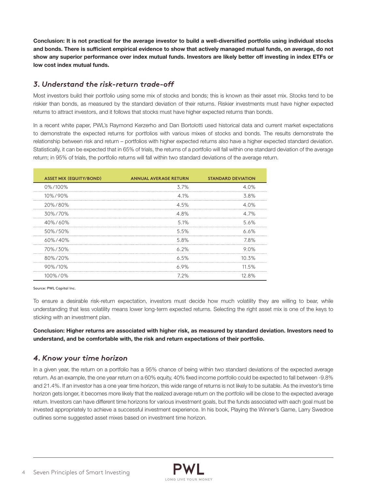Conclusion: It is not practical for the average investor to build a well-diversified portfolio using individual stocks and bonds. There is sufficient empirical evidence to show that actively managed mutual funds, on average, do not show any superior performance over index mutual funds. Investors are likely better off investing in index ETFs or low cost index mutual funds.

## *3. Understand the risk-return trade-off*

Most investors build their portfolio using some mix of stocks and bonds; this is known as their asset mix. Stocks tend to be riskier than bonds, as measured by the standard deviation of their returns. Riskier investments must have higher expected returns to attract investors, and it follows that stocks must have higher expected returns than bonds.

In a recent white paper, PWL's Raymond Kerzerho and Dan Bortolotti used historical data and current market expectations to demonstrate the expected returns for portfolios with various mixes of stocks and bonds. The results demonstrate the relationship between risk and return – portfolios with higher expected returns also have a higher expected standard deviation. Statistically, it can be expected that in 65% of trials, the returns of a portfolio will fall within one standard deviation of the average return; in 95% of trials, the portfolio returns will fall within two standard deviations of the average return.

| <b>ASSET MIX (EQUITY/BOND)</b> | <b>ANNUAL AVERAGE RETURN</b> | <b>STANDARD DEVIATION</b> |
|--------------------------------|------------------------------|---------------------------|
| 0%/100%                        | 3.7%                         | 4.0%                      |
| 10%/90%                        | 4.1%                         | 3.8%                      |
| 20%/80%                        | 4.5%                         | 4 በ%                      |
| 30%/70%                        | 4.8%                         | 4.7%                      |
| 40%/60%                        | $5.1\%$                      | 5.6%                      |
| 50%/50%                        | 5.5%                         | 6.6%                      |
| 60%/40%                        | 5.8%                         | 7.8%                      |
| 70%/30%                        | 6.2%                         | 9 N%                      |
| 80%/20%<br>                    | 6.5%                         | 10.3%                     |
| 90%/10%                        | 6.9%                         | 11.5%                     |
| 100%/0%                        | 7.2%                         | 12.8%                     |

Source: PWL Capital Inc.

To ensure a desirable risk-return expectation, investors must decide how much volatility they are willing to bear, while understanding that less volatility means lower long-term expected returns. Selecting the right asset mix is one of the keys to sticking with an investment plan.

Conclusion: Higher returns are associated with higher risk, as measured by standard deviation. Investors need to understand, and be comfortable with, the risk and return expectations of their portfolio.

## *4. Know your time horizon*

In a given year, the return on a portfolio has a 95% chance of being within two standard deviations of the expected average return. As an example, the one year return on a 60% equity, 40% fixed income portfolio could be expected to fall between -9.8% and 21.4%. If an investor has a one year time horizon, this wide range of returns is not likely to be suitable. As the investor's time horizon gets longer, it becomes more likely that the realized average return on the portfolio will be close to the expected average return. Investors can have different time horizons for various investment goals, but the funds associated with each goal must be invested appropriately to achieve a successful investment experience. In his book, Playing the Winner's Game, Larry Swedroe outlines some suggested asset mixes based on investment time horizon.

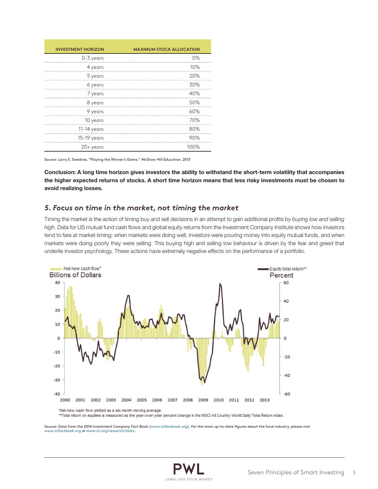| <b>INVESTMENT HORIZON</b> | <b>MAXIMUM STOCK ALLOCATION</b> |
|---------------------------|---------------------------------|
| 0-3 years                 | 0%                              |
| 4 years                   | 10%                             |
| 5 years                   | 20%                             |
| 6 years                   | 30%                             |
| 7 years                   | 40%                             |
| 8 years                   | 50%                             |
| 9 years                   | 60%                             |
| 10 years                  | 70%                             |
| 11-14 years               | 80%                             |
| 15-19 years               | 90%                             |
| $20+years$                | 100%                            |

Source: Larry E. Swedroe, "Playing the Winner's Game," *McGraw Hill Education*, 2013

Conclusion: A long time horizon gives investors the ability to withstand the short-term volatility that accompanies the higher expected returns of stocks. A short time horizon means that less risky investments must be chosen to avoid realizing losses.

#### *5. Focus on time in the market, not timing the market*

Timing the market is the action of timing buy and sell decisions in an attempt to gain additional profits by *buying low and selling high*. Data for US mutual fund cash flows and global equity returns from the Investment Company Institute shows how investors tend to fare at market timing; when markets were doing well, investors were pouring money into equity mutual funds, and when markets were doing poorly they were selling. This buying high and selling low behaviour is driven by the fear and greed that underlie investor psychology. These actions have extremely negative effects on the performance of a portfolio.



\*\*Total return on equities is measured as the year-over-year percent change in the MSCI All Country World Daily Total Return Index.

Source: Data from the 2014 Investment Company Fact Book [\(www.icifactbook.org\)](http://www.icifactbook.org/). For the most up-to-date figures about the fund industry, please visit [www.icifactbook.org](http://www.icifactbook.org/) or [www.ici.org/research/stats.](http://www.ici.org/research/stats)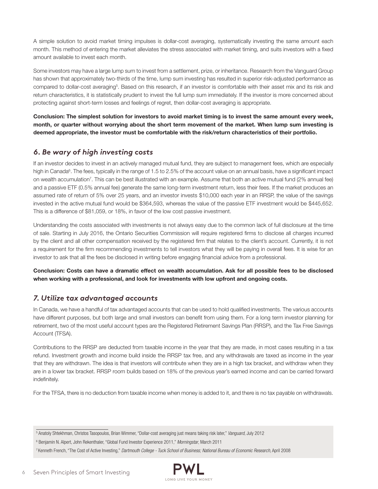A simple solution to avoid market timing impulses is dollar-cost averaging, systematically investing the same amount each month. This method of entering the market alleviates the stress associated with market timing, and suits investors with a fixed amount available to invest each month.

Some investors may have a large lump sum to invest from a settlement, prize, or inheritance. Research from the Vanguard Group has shown that approximately two-thirds of the time, lump sum investing has resulted in superior risk-adjusted performance as compared to dollar-cost averaging<sup>5</sup>. Based on this research, if an investor is comfortable with their asset mix and its risk and return characteristics, it is statistically prudent to invest the full lump sum immediately. If the investor is more concerned about protecting against short-term losses and feelings of regret, then dollar-cost averaging is appropriate.

Conclusion: The simplest solution for investors to avoid market timing is to invest the same amount every week, month, or quarter without worrying about the short term movement of the market. When lump sum investing is deemed appropriate, the investor must be comfortable with the risk/return characteristics of their portfolio.

## *6. Be wary of high investing costs*

If an investor decides to invest in an actively managed mutual fund, they are subject to management fees, which are especially high in Canada<sup>6</sup>. The fees, typically in the range of 1.5 to 2.5% of the account value on an annual basis, have a significant impact on wealth accumulation7 . This can be best illustrated with an example. Assume that both an active mutual fund (2% annual fee) and a passive ETF (0.5% annual fee) generate the same long-term investment return, less their fees. If the market produces an assumed rate of return of 5% over 25 years, and an investor invests \$10,000 each year in an RRSP, the value of the savings invested in the active mutual fund would be \$364,593, whereas the value of the passive ETF investment would be \$445,652. This is a difference of \$81,059, or 18%, in favor of the low cost passive investment.

Understanding the costs associated with investments is not always easy due to the common lack of full disclosure at the time of sale. Starting in July 2016, the Ontario Securities Commission will require registered firms to disclose all charges incurred by the client and all other compensation received by the registered firm that relates to the client's account. Currently, it is not a requirement for the firm recommending investments to tell investors what they will be paying in overall fees. It is wise for an investor to ask that all the fees be disclosed in writing before engaging financial advice from a professional.

Conclusion: Costs can have a dramatic effect on wealth accumulation. Ask for all possible fees to be disclosed when working with a professional, and look for investments with low upfront and ongoing costs.

## *7. Utilize tax advantaged accounts*

In Canada, we have a handful of tax advantaged accounts that can be used to hold qualified investments. The various accounts have different purposes, but both large and small investors can benefit from using them. For a long term investor planning for retirement, two of the most useful account types are the Registered Retirement Savings Plan (RRSP), and the Tax Free Savings Account (TFSA).

Contributions to the RRSP are deducted from taxable income in the year that they are made, in most cases resulting in a tax refund. Investment growth and income build inside the RRSP tax free, and any withdrawals are taxed as income in the year that they are withdrawn. The idea is that investors will contribute when they are in a high tax bracket, and withdraw when they are in a lower tax bracket. RRSP room builds based on 18% of the previous year's earned income and can be carried forward indefinitely.

For the TFSA, there is no deduction from taxable income when money is added to it, and there is no tax payable on withdrawals.

<sup>7</sup> Kenneth French, "The Cost of Active Investing," *Dartmouth College - Tuck School of Business; National Bureau of Economic Research*, April 2008



<sup>5</sup> Anatoly Shtekhman, Christos Tasopoulos, Brian Wimmer, "Dollar-cost averaging just means taking risk later," *Vanguard*, July 2012

<sup>6</sup> Benjamin N. Alpert, John Rekenthaler, "Global Fund Investor Experience 2011," *Morningstar*, March 2011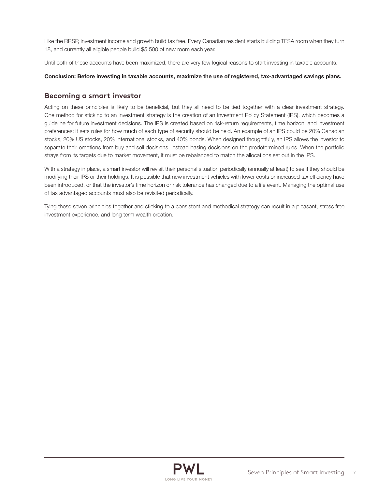Like the RRSP, investment income and growth build tax free. Every Canadian resident starts building TFSA room when they turn 18, and currently all eligible people build \$5,500 of new room each year.

Until both of these accounts have been maximized, there are very few logical reasons to start investing in taxable accounts.

#### Conclusion: Before investing in taxable accounts, maximize the use of registered, tax-advantaged savings plans.

### **Becoming a smart investor**

Acting on these principles is likely to be beneficial, but they all need to be tied together with a clear investment strategy. One method for sticking to an investment strategy is the creation of an Investment Policy Statement (IPS), which becomes a guideline for future investment decisions. The IPS is created based on risk-return requirements, time horizon, and investment preferences; it sets rules for how much of each type of security should be held. An example of an IPS could be 20% Canadian stocks, 20% US stocks, 20% International stocks, and 40% bonds. When designed thoughtfully, an IPS allows the investor to separate their emotions from buy and sell decisions, instead basing decisions on the predetermined rules. When the portfolio strays from its targets due to market movement, it must be rebalanced to match the allocations set out in the IPS.

With a strategy in place, a smart investor will revisit their personal situation periodically (annually at least) to see if they should be modifying their IPS or their holdings. It is possible that new investment vehicles with lower costs or increased tax efficiency have been introduced, or that the investor's time horizon or risk tolerance has changed due to a life event. Managing the optimal use of tax advantaged accounts must also be revisited periodically.

Tying these seven principles together and sticking to a consistent and methodical strategy can result in a pleasant, stress free investment experience, and long term wealth creation.

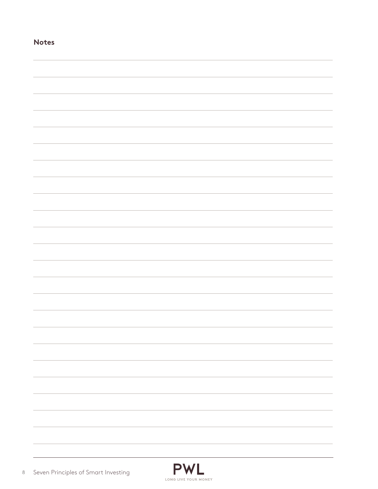| <b>NOTES</b> |  |  |  |
|--------------|--|--|--|
|              |  |  |  |
|              |  |  |  |
|              |  |  |  |
|              |  |  |  |
|              |  |  |  |
|              |  |  |  |
|              |  |  |  |
|              |  |  |  |
|              |  |  |  |
|              |  |  |  |
|              |  |  |  |
|              |  |  |  |
|              |  |  |  |
|              |  |  |  |
|              |  |  |  |
|              |  |  |  |
|              |  |  |  |
|              |  |  |  |
|              |  |  |  |
|              |  |  |  |
|              |  |  |  |
|              |  |  |  |
|              |  |  |  |
|              |  |  |  |

**Notes**

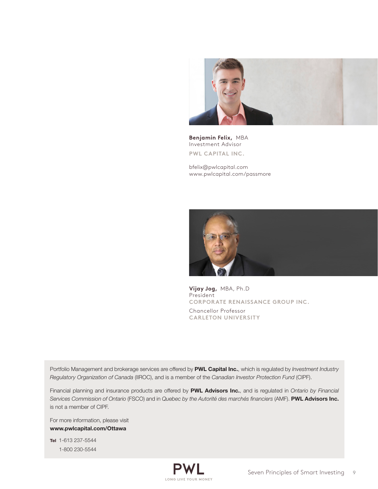

**Benjamin Felix,** MBA Investment Advisor **PWL CAPITAL INC.**

[bfelix@pwlcapital.com](mailto:bfelix@pwlcapital.com) [www.pwlcapital.com/passmore](http://www.pwlcapital.com/en/Advisor/Ottawa/Cameron-Passmore/Team)



**Vijay Jog,** MBA, Ph.D President **CORPORATE RENAISSANCE GROUP INC.** 

Chancellor Professor **CARLETON UNIVERSITY**

Portfolio Management and brokerage services are offered by PWL Capital Inc., which is regulated by *Investment Industry Regulatory Organization of Canada* (IIROC), and is a member of the *Canadian Investor Protection Fund* (CIPF).

Financial planning and insurance products are offered by PWL Advisors Inc., and is regulated in *Ontario by Financial Services Commission of Ontario* (FSCO) and in *Quebec by the Autorité des marchés financiers* (AMF). PWL Advisors Inc. is not a member of CIPF.

For more information, please visit [www.pwlcapital.com/Ottawa](http://www.pwlcapital.com/en/Advisor/Ottawa/Cameron-Passmore/Team)

Tel 1-613 237-5544 1-800 230-5544